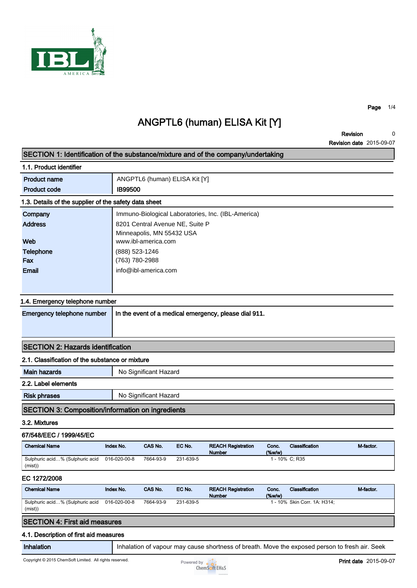

Page 1/4

## ANGPTL6 (human) ELISA Kit [Y]

Revision 0 Revision date 2015-09-07 0

| SECTION 1: Identification of the substance/mixture and of the company/undertaking |                |                                       |                                 |                                                       |             |                                                                                                |           |
|-----------------------------------------------------------------------------------|----------------|---------------------------------------|---------------------------------|-------------------------------------------------------|-------------|------------------------------------------------------------------------------------------------|-----------|
| 1.1. Product identifier                                                           |                |                                       |                                 |                                                       |             |                                                                                                |           |
| <b>Product name</b>                                                               |                | ANGPTL6 (human) ELISA Kit [Y]         |                                 |                                                       |             |                                                                                                |           |
| <b>Product code</b>                                                               |                | <b>IB99500</b>                        |                                 |                                                       |             |                                                                                                |           |
| 1.3. Details of the supplier of the safety data sheet                             |                |                                       |                                 |                                                       |             |                                                                                                |           |
| Company                                                                           |                |                                       |                                 | Immuno-Biological Laboratories, Inc. (IBL-America)    |             |                                                                                                |           |
| <b>Address</b>                                                                    |                |                                       | 8201 Central Avenue NE, Suite P |                                                       |             |                                                                                                |           |
| Web                                                                               |                | Minneapolis, MN 55432 USA             |                                 |                                                       |             |                                                                                                |           |
|                                                                                   |                | www.ibl-america.com<br>(888) 523-1246 |                                 |                                                       |             |                                                                                                |           |
| <b>Telephone</b><br>Fax                                                           | (763) 780-2988 |                                       |                                 |                                                       |             |                                                                                                |           |
| <b>Email</b>                                                                      |                | info@ibl-america.com                  |                                 |                                                       |             |                                                                                                |           |
|                                                                                   |                |                                       |                                 |                                                       |             |                                                                                                |           |
|                                                                                   |                |                                       |                                 |                                                       |             |                                                                                                |           |
| 1.4. Emergency telephone number                                                   |                |                                       |                                 |                                                       |             |                                                                                                |           |
| Emergency telephone number                                                        |                |                                       |                                 | In the event of a medical emergency, please dial 911. |             |                                                                                                |           |
|                                                                                   |                |                                       |                                 |                                                       |             |                                                                                                |           |
|                                                                                   |                |                                       |                                 |                                                       |             |                                                                                                |           |
| <b>SECTION 2: Hazards identification</b>                                          |                |                                       |                                 |                                                       |             |                                                                                                |           |
| 2.1. Classification of the substance or mixture                                   |                |                                       |                                 |                                                       |             |                                                                                                |           |
| <b>Main hazards</b>                                                               |                | No Significant Hazard                 |                                 |                                                       |             |                                                                                                |           |
| 2.2. Label elements                                                               |                |                                       |                                 |                                                       |             |                                                                                                |           |
| <b>Risk phrases</b>                                                               |                | No Significant Hazard                 |                                 |                                                       |             |                                                                                                |           |
| <b>SECTION 3: Composition/information on ingredients</b>                          |                |                                       |                                 |                                                       |             |                                                                                                |           |
| 3.2. Mixtures                                                                     |                |                                       |                                 |                                                       |             |                                                                                                |           |
| 67/548/EEC / 1999/45/EC                                                           |                |                                       |                                 |                                                       |             |                                                                                                |           |
| <b>Chemical Name</b>                                                              | Index No.      | CAS No.                               | EC No.                          | <b>REACH Registration</b>                             | Conc.       | Classification                                                                                 | M-factor. |
| Sulphuric acid% (Sulphuric acid                                                   | 016-020-00-8   | 7664-93-9                             | 231-639-5                       | <b>Number</b>                                         | (%w/w)      | 1 - 10% C; R35                                                                                 |           |
| (mist)                                                                            |                |                                       |                                 |                                                       |             |                                                                                                |           |
| EC 1272/2008                                                                      |                |                                       |                                 |                                                       |             |                                                                                                |           |
| <b>Chemical Name</b>                                                              | Index No.      | CAS No.                               | EC No.                          | <b>REACH Registration</b><br>Number                   | Conc.<br>(% | Classification                                                                                 | M-factor. |
| Sulphuric acid% (Sulphuric acid<br>(mist)                                         | 016-020-00-8   | 7664-93-9                             | 231-639-5                       |                                                       |             | 1 - 10% Skin Corr. 1A: H314;                                                                   |           |
| <b>SECTION 4: First aid measures</b>                                              |                |                                       |                                 |                                                       |             |                                                                                                |           |
| 4.1. Description of first aid measures                                            |                |                                       |                                 |                                                       |             |                                                                                                |           |
| Inhalation                                                                        |                |                                       |                                 |                                                       |             | Inhalation of vapour may cause shortness of breath. Move the exposed person to fresh air. Seek |           |

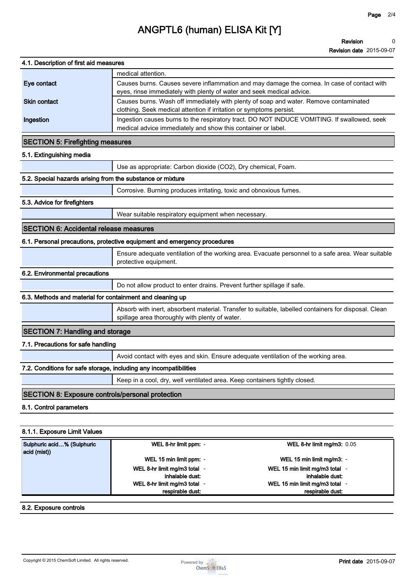# ANGPTL6 (human) ELISA Kit [Y]

|                                                                   | <b>Revision date</b> 2015-09-07                                                                                                                                      |  |  |  |  |  |
|-------------------------------------------------------------------|----------------------------------------------------------------------------------------------------------------------------------------------------------------------|--|--|--|--|--|
| 4.1. Description of first aid measures                            |                                                                                                                                                                      |  |  |  |  |  |
|                                                                   | medical attention.                                                                                                                                                   |  |  |  |  |  |
| Eye contact                                                       | Causes burns. Causes severe inflammation and may damage the cornea. In case of contact with<br>eyes, rinse immediately with plenty of water and seek medical advice. |  |  |  |  |  |
| <b>Skin contact</b>                                               | Causes burns. Wash off immediately with plenty of soap and water. Remove contaminated<br>clothing. Seek medical attention if irritation or symptoms persist.         |  |  |  |  |  |
| Ingestion                                                         | Ingestion causes burns to the respiratory tract. DO NOT INDUCE VOMITING. If swallowed, seek<br>medical advice immediately and show this container or label.          |  |  |  |  |  |
| <b>SECTION 5: Firefighting measures</b>                           |                                                                                                                                                                      |  |  |  |  |  |
| 5.1. Extinguishing media                                          |                                                                                                                                                                      |  |  |  |  |  |
|                                                                   | Use as appropriate: Carbon dioxide (CO2), Dry chemical, Foam.                                                                                                        |  |  |  |  |  |
| 5.2. Special hazards arising from the substance or mixture        |                                                                                                                                                                      |  |  |  |  |  |
|                                                                   | Corrosive. Burning produces irritating, toxic and obnoxious fumes.                                                                                                   |  |  |  |  |  |
| 5.3. Advice for firefighters                                      |                                                                                                                                                                      |  |  |  |  |  |
|                                                                   | Wear suitable respiratory equipment when necessary.                                                                                                                  |  |  |  |  |  |
| <b>SECTION 6: Accidental release measures</b>                     |                                                                                                                                                                      |  |  |  |  |  |
|                                                                   | 6.1. Personal precautions, protective equipment and emergency procedures                                                                                             |  |  |  |  |  |
|                                                                   | Ensure adequate ventilation of the working area. Evacuate personnel to a safe area. Wear suitable<br>protective equipment.                                           |  |  |  |  |  |
| 6.2. Environmental precautions                                    |                                                                                                                                                                      |  |  |  |  |  |
|                                                                   | Do not allow product to enter drains. Prevent further spillage if safe.                                                                                              |  |  |  |  |  |
| 6.3. Methods and material for containment and cleaning up         |                                                                                                                                                                      |  |  |  |  |  |
|                                                                   | Absorb with inert, absorbent material. Transfer to suitable, labelled containers for disposal. Clean<br>spillage area thoroughly with plenty of water.               |  |  |  |  |  |
| <b>SECTION 7: Handling and storage</b>                            |                                                                                                                                                                      |  |  |  |  |  |
| 7.1. Precautions for safe handling                                |                                                                                                                                                                      |  |  |  |  |  |
|                                                                   | Avoid contact with eyes and skin. Ensure adequate ventilation of the working area.                                                                                   |  |  |  |  |  |
| 7.2. Conditions for safe storage, including any incompatibilities |                                                                                                                                                                      |  |  |  |  |  |
|                                                                   | Keep in a cool, dry, well ventilated area. Keep containers tightly closed.                                                                                           |  |  |  |  |  |
| <b>SECTION 8: Exposure controls/personal protection</b>           |                                                                                                                                                                      |  |  |  |  |  |
| 8.1. Control parameters                                           |                                                                                                                                                                      |  |  |  |  |  |
| 8.1.1. Exposure Limit Values                                      |                                                                                                                                                                      |  |  |  |  |  |
| Sulphuric acid % (Sulphuric                                       | WEL 8-hr limit ma/m3: $0.05$<br>WEL 8-hr limit nom: -                                                                                                                |  |  |  |  |  |
|                                                                   |                                                                                                                                                                      |  |  |  |  |  |

| Sulphuric acid% (Sulphuric | WEL 8-hr limit ppm: -      | WEL 8-hr limit mg/m3: 0.05     |
|----------------------------|----------------------------|--------------------------------|
| acid (mist))               |                            |                                |
|                            | WEL 15 min limit ppm: -    | WEL 15 min limit mg/m3: -      |
|                            | WEL 8-hr limit mg/m3 total | WEL 15 min limit mg/m3 total - |
|                            | inhalable dust:            | inhalable dust:                |
|                            | WEL 8-hr limit mg/m3 total | WEL 15 min limit mg/m3 total - |
|                            | respirable dust:           | respirable dust:               |

## 8.2. Exposure controls

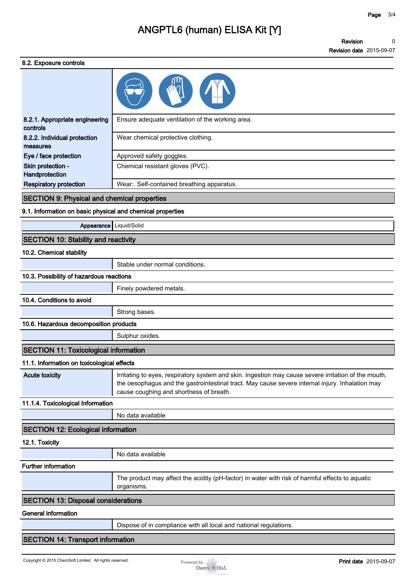## ANGPTL6 (human) ELISA Kit [Y]

Revision 0 Revision date 2015-09-07 0

#### 8.2. Exposure controls

| U.Z. LAPUJUITU UUIILUIJ                                    |                                                  |
|------------------------------------------------------------|--------------------------------------------------|
|                                                            |                                                  |
| 8.2.1. Appropriate engineering<br>controls                 | Ensure adequate ventilation of the working area. |
| 8.2.2. Individual protection<br>measures                   | Wear chemical protective clothing.               |
| Eye / face protection                                      | Approved safety goggles.                         |
| Skin protection -<br>Handprotection                        | Chemical resistant gloves (PVC).                 |
| <b>Respiratory protection</b>                              | Wear:. Self-contained breathing apparatus.       |
|                                                            |                                                  |
| <b>SECTION 9: Physical and chemical properties</b>         |                                                  |
| 9.1. Information on basic physical and chemical properties |                                                  |
| Appearance                                                 | Liquid/Solid                                     |
| <b>SECTION 10: Stability and reactivity</b>                |                                                  |
| 10.2. Chemical stability                                   |                                                  |
|                                                            | Stable under normal conditions.                  |
| 10.3. Possibility of hazardous reactions                   |                                                  |
|                                                            | Finely powdered metals.                          |
| 10.4. Conditions to avoid                                  |                                                  |

#### 10.6. Hazardous decomposition products

Sulphur oxides.

### SECTION 11: Toxicological information

## 11.1. Information on toxicological effects

Acute toxicity Irritating to eyes, respiratory system and skin. Ingestion may cause severe irritation of the mouth, the oesophagus and the gastrointestinal tract. May cause severe internal injury. Inhalation may cause coughing and shortness of breath.

## 11.1.4. Toxicological Information

No data available

### SECTION 12: Ecological information

12.1. Toxicity

No data available

#### Further information

The product may affect the acidity (pH-factor) in water with risk of harmful effects to aquatic organisms.

#### SECTION 13: Disposal considerations

#### General information

Dispose of in compliance with all local and national regulations.

## SECTION 14: Transport information